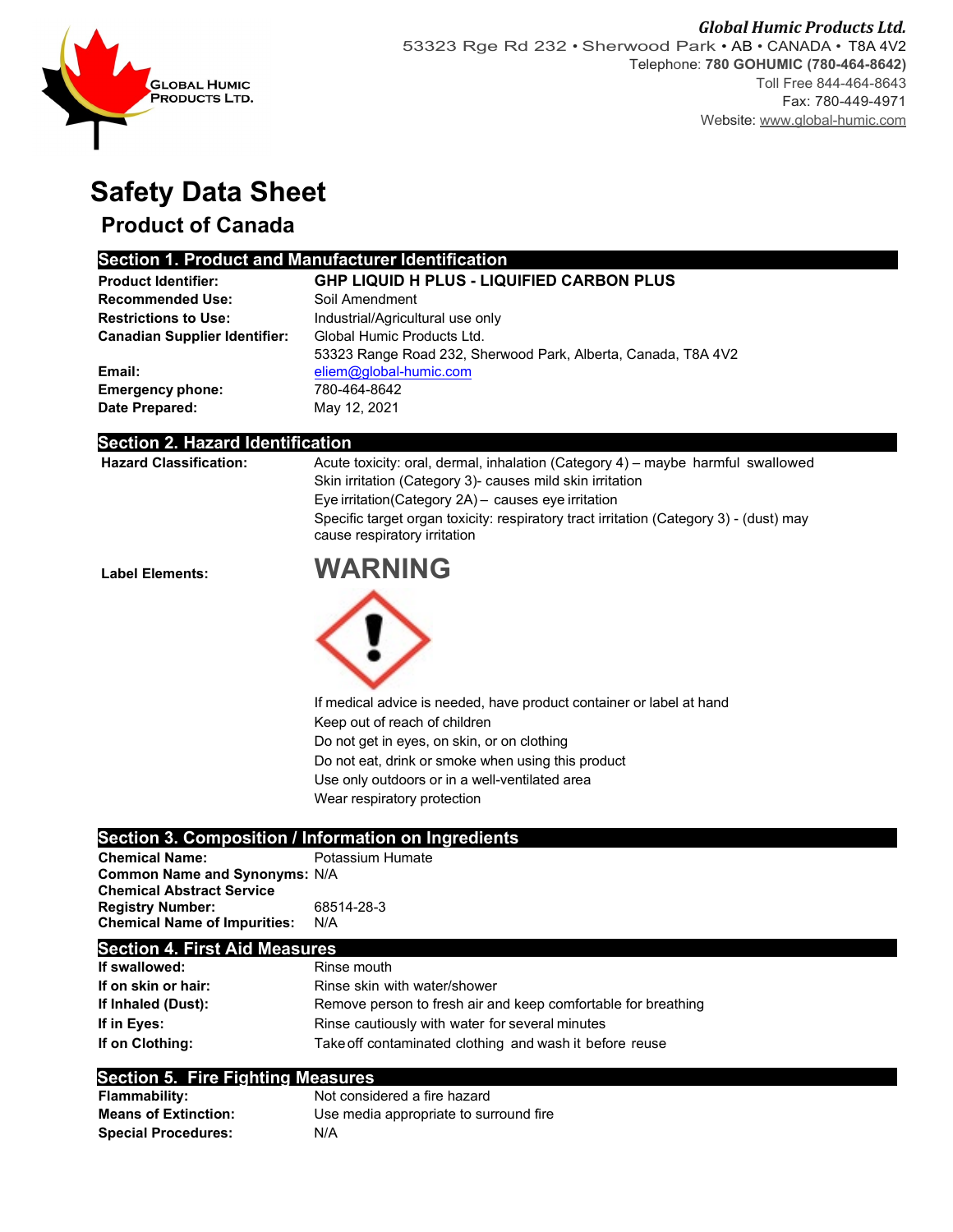

# **Safety Data Sheet**

## **Product of Canada**

### **Section 1. Product and Manufacturer Identification**

| <b>Product Identifier:</b>           | <b>GHP LIQUID H PLUS - LIQUIFIED CARBON PLUS</b>              |
|--------------------------------------|---------------------------------------------------------------|
| <b>Recommended Use:</b>              | Soil Amendment                                                |
| <b>Restrictions to Use:</b>          | Industrial/Agricultural use only                              |
| <b>Canadian Supplier Identifier:</b> | Global Humic Products Ltd.                                    |
|                                      | 53323 Range Road 232, Sherwood Park, Alberta, Canada, T8A 4V2 |
| Email:                               | eliem@global-humic.com                                        |
| <b>Emergency phone:</b>              | 780-464-8642                                                  |
| Date Prepared:                       | May 12, 2021                                                  |

#### **Section 2. Hazard Identification**

| <b>Hazard Classification:</b> | Acute toxicity: oral, dermal, inhalation (Category 4) – maybe harmful swallowed                                        |
|-------------------------------|------------------------------------------------------------------------------------------------------------------------|
|                               | Skin irritation (Category 3) causes mild skin irritation                                                               |
|                               | Eye irritation (Category 2A) - causes eye irritation                                                                   |
|                               | Specific target organ toxicity: respiratory tract irritation (Category 3) - (dust) may<br>cause respiratory irritation |
|                               |                                                                                                                        |





If medical advice is needed, have product container or label at hand Keep out of reach of children Do not get in eyes, on skin, or on clothing Do not eat, drink or smoke when using this product Use only outdoors or in a well-ventilated area

Wear respiratory protection

### **Section 3. Composition / Information on Ingredients**

| <b>Chemical Name:</b>                | Potassium Humate |
|--------------------------------------|------------------|
| <b>Common Name and Synonyms: N/A</b> |                  |
| <b>Chemical Abstract Service</b>     |                  |
| <b>Registry Number:</b>              | 68514-28-3       |
| <b>Chemical Name of Impurities:</b>  | N/A              |

#### **Section 4. First Aid Measures**

| If swallowed:       | Rinse mouth                                                   |
|---------------------|---------------------------------------------------------------|
| If on skin or hair: | Rinse skin with water/shower                                  |
| If Inhaled (Dust):  | Remove person to fresh air and keep comfortable for breathing |
| If in Eves:         | Rinse cautiously with water for several minutes               |
| If on Clothing:     | Take off contaminated clothing and wash it before reuse       |

#### **Section 5. Fire Fighting Measures**

| <b>Flammability:</b>        | Not considered a fire hazard           |
|-----------------------------|----------------------------------------|
| <b>Means of Extinction:</b> | Use media appropriate to surround fire |
| <b>Special Procedures:</b>  | N/A                                    |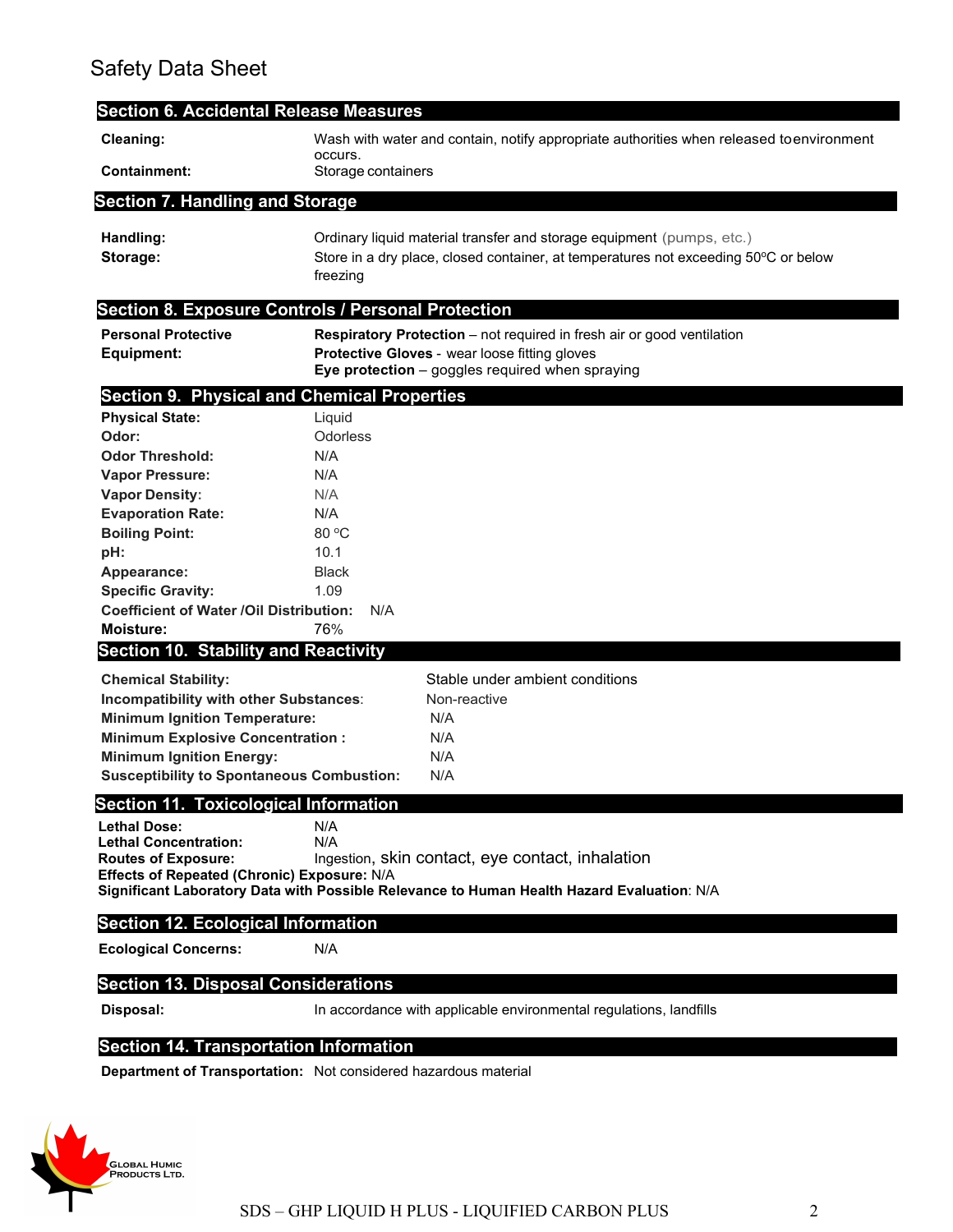## Safety Data Sheet

| <b>Section 6. Accidental Release Measures</b>             |                                                                                                                                                                          |  |
|-----------------------------------------------------------|--------------------------------------------------------------------------------------------------------------------------------------------------------------------------|--|
| Cleaning:                                                 | Wash with water and contain, notify appropriate authorities when released toenvironment<br>occurs.                                                                       |  |
| <b>Containment:</b>                                       | Storage containers                                                                                                                                                       |  |
| <b>Section 7. Handling and Storage</b>                    |                                                                                                                                                                          |  |
| Handling:<br>Storage:                                     | Ordinary liquid material transfer and storage equipment (pumps, etc.)<br>Store in a dry place, closed container, at temperatures not exceeding 50°C or below<br>freezing |  |
| <b>Section 8. Exposure Controls / Personal Protection</b> |                                                                                                                                                                          |  |
| <b>Personal Protective</b>                                | <b>Respiratory Protection</b> – not required in fresh air or good ventilation                                                                                            |  |
| Equipment:                                                | Protective Gloves - wear loose fitting gloves<br>Eye protection - goggles required when spraying                                                                         |  |
| <b>Section 9. Physical and Chemical Properties</b>        |                                                                                                                                                                          |  |
| <b>Physical State:</b>                                    | Liquid                                                                                                                                                                   |  |
| Odor:                                                     | Odorless                                                                                                                                                                 |  |
| <b>Odor Threshold:</b>                                    | N/A                                                                                                                                                                      |  |
| <b>Vapor Pressure:</b>                                    | N/A                                                                                                                                                                      |  |
| <b>Vapor Density:</b>                                     | N/A                                                                                                                                                                      |  |
| <b>Evaporation Rate:</b>                                  | N/A                                                                                                                                                                      |  |
| <b>Boiling Point:</b><br>pH:                              | 80 °C<br>10.1                                                                                                                                                            |  |
| Appearance:                                               | <b>Black</b>                                                                                                                                                             |  |
| <b>Specific Gravity:</b>                                  | 1.09                                                                                                                                                                     |  |
| <b>Coefficient of Water /Oil Distribution:</b>            | N/A                                                                                                                                                                      |  |
| Moisture:                                                 | 76%                                                                                                                                                                      |  |
| <b>Section 10. Stability and Reactivity</b>               |                                                                                                                                                                          |  |
| <b>Chemical Stability:</b>                                | Stable under ambient conditions                                                                                                                                          |  |
| Incompatibility with other Substances:                    | Non-reactive                                                                                                                                                             |  |
| <b>Minimum Ignition Temperature:</b>                      | N/A                                                                                                                                                                      |  |
| <b>Minimum Explosive Concentration:</b>                   | N/A                                                                                                                                                                      |  |
| <b>Minimum Ignition Energy:</b>                           | N/A                                                                                                                                                                      |  |
| <b>Susceptibility to Spontaneous Combustion:</b>          | N/A                                                                                                                                                                      |  |
| <b>Section 11. Toxicological Information</b>              |                                                                                                                                                                          |  |
| <b>Lethal Dose:</b>                                       | N/A                                                                                                                                                                      |  |
| <b>Lethal Concentration:</b>                              | N/A                                                                                                                                                                      |  |
| <b>Routes of Exposure:</b>                                | Ingestion, skin contact, eye contact, inhalation                                                                                                                         |  |
| Effects of Repeated (Chronic) Exposure: N/A               | Significant Laboratory Data with Possible Relevance to Human Health Hazard Evaluation: N/A                                                                               |  |
| <b>Section 12. Ecological Information</b>                 |                                                                                                                                                                          |  |
|                                                           |                                                                                                                                                                          |  |
| <b>Ecological Concerns:</b>                               | N/A                                                                                                                                                                      |  |
| <b>Section 13. Disposal Considerations</b>                |                                                                                                                                                                          |  |
| Disposal:                                                 | In accordance with applicable environmental regulations, landfills                                                                                                       |  |
|                                                           |                                                                                                                                                                          |  |

### **Section 14. Transportation Information**

**Department of Transportation:** Not considered hazardous material